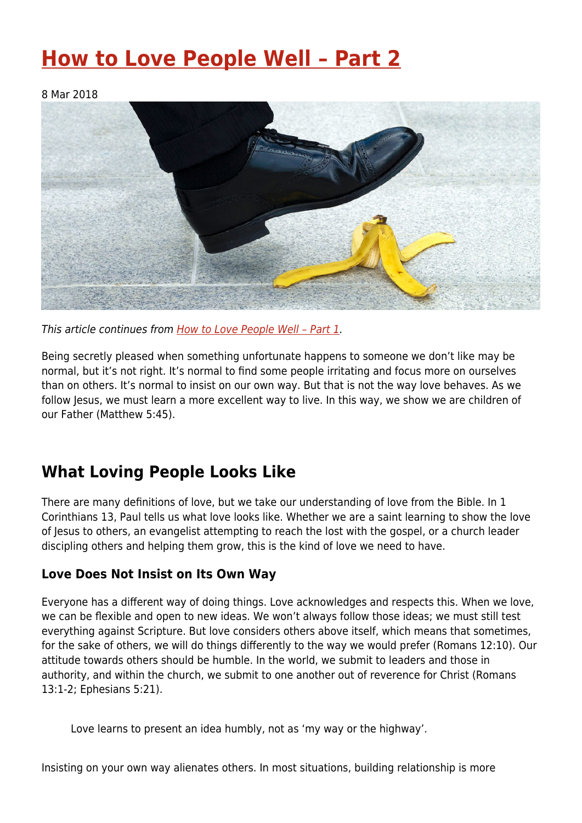# **[How to Love People Well – Part 2](https://four12global.com/articles/how-to-love-people-well-part-2/)**

8 Mar 2018



This article continues from How to Love People Well - Part 1.

Being secretly pleased when something unfortunate happens to someone we don't like may be normal, but it's not right. It's normal to find some people irritating and focus more on ourselves than on others. It's normal to insist on our own way. But that is not the way love behaves. As we follow Jesus, we must learn a more excellent way to live. In this way, we show we are children of our Father (Matthew 5:45).

## **What Loving People Looks Like**

There are many definitions of love, but we take our understanding of love from the Bible. In 1 Corinthians 13, Paul tells us what love looks like. Whether we are a saint learning to show the love of Jesus to others, an evangelist attempting to reach the lost with the gospel, or a church leader discipling others and helping them grow, this is the kind of love we need to have.

#### **Love Does Not Insist on Its Own Way**

Everyone has a different way of doing things. Love acknowledges and respects this. When we love, we can be flexible and open to new ideas. We won't always follow those ideas; we must still test everything against Scripture. But love considers others above itself, which means that sometimes, for the sake of others, we will do things differently to the way we would prefer (Romans 12:10). Our attitude towards others should be humble. In the world, we submit to leaders and those in authority, and within the church, we submit to one another out of reverence for Christ (Romans 13:1-2; Ephesians 5:21).

Love learns to present an idea humbly, not as 'my way or the highway'.

Insisting on your own way alienates others. In most situations, building relationship is more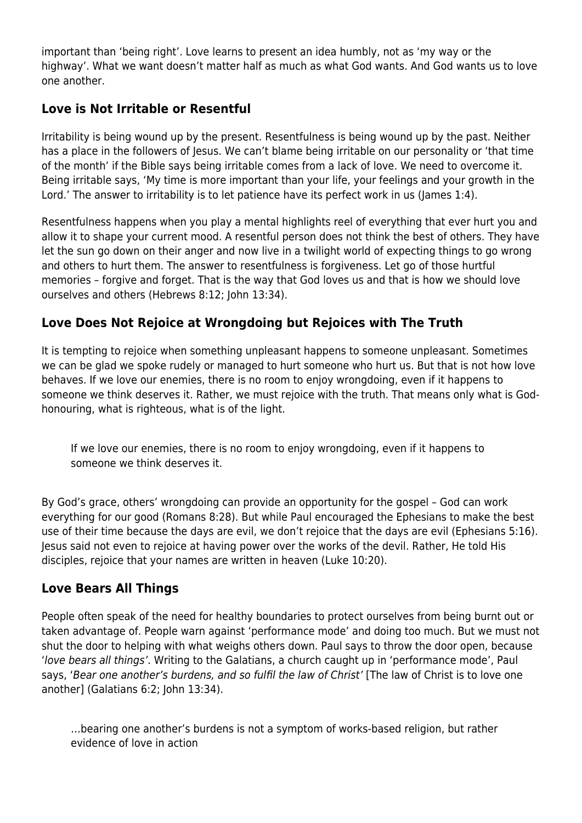important than 'being right'. Love learns to present an idea humbly, not as 'my way or the highway'. What we want doesn't matter half as much as what God wants. And God wants us to love one another.

#### **Love is Not Irritable or Resentful**

Irritability is being wound up by the present. Resentfulness is being wound up by the past. Neither has a place in the followers of Jesus. We can't blame being irritable on our personality or 'that time of the month' if the Bible says being irritable comes from a lack of love. We need to overcome it. Being irritable says, 'My time is more important than your life, your feelings and your growth in the Lord.' The answer to irritability is to let patience have its perfect work in us (James 1:4).

Resentfulness happens when you play a mental highlights reel of everything that ever hurt you and allow it to shape your current mood. A resentful person does not think the best of others. They have let the sun go down on their anger and now live in a twilight world of expecting things to go wrong and others to hurt them. The answer to resentfulness is forgiveness. Let go of those hurtful memories – forgive and forget. That is the way that God loves us and that is how we should love ourselves and others (Hebrews 8:12; John 13:34).

#### **Love Does Not Rejoice at Wrongdoing but Rejoices with The Truth**

It is tempting to rejoice when something unpleasant happens to someone unpleasant. Sometimes we can be glad we spoke rudely or managed to hurt someone who hurt us. But that is not how love behaves. If we love our enemies, there is no room to enjoy wrongdoing, even if it happens to someone we think deserves it. Rather, we must rejoice with the truth. That means only what is Godhonouring, what is righteous, what is of the light.

If we love our enemies, there is no room to enjoy wrongdoing, even if it happens to someone we think deserves it.

By God's grace, others' wrongdoing can provide an opportunity for the gospel – God can work everything for our good (Romans 8:28). But while Paul encouraged the Ephesians to make the best use of their time because the days are evil, we don't rejoice that the days are evil (Ephesians 5:16). Jesus said not even to rejoice at having power over the works of the devil. Rather, He told His disciples, rejoice that your names are written in heaven (Luke 10:20).

#### **Love Bears All Things**

People often speak of the need for healthy boundaries to protect ourselves from being burnt out or taken advantage of. People warn against 'performance mode' and doing too much. But we must not shut the door to helping with what weighs others down. Paul says to throw the door open, because 'love bears all things'. Writing to the Galatians, a church caught up in 'performance mode', Paul says, 'Bear one another's burdens, and so fulfil the law of Christ' [The law of Christ is to love one another] (Galatians 6:2; John 13:34).

…bearing one another's burdens is not a symptom of works-based religion, but rather evidence of love in action